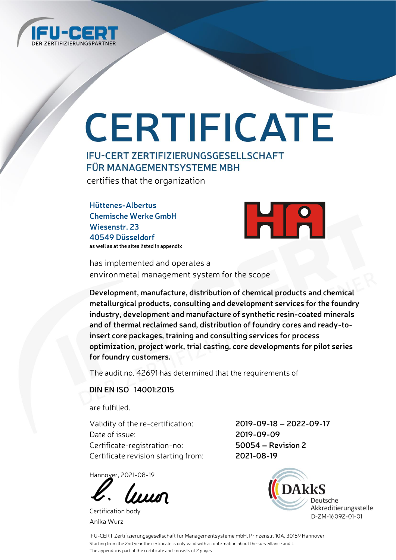

# CERTIFICATE

### **IFU-CERT ZERTIFIZIERUNGSGESELLSCHAFT FÜR MANAGEMENTSYSTEME MBH**

certifies that the organization

**Hüttenes-Albertus Chemische Werke GmbH Wiesenstr. 23 40549 Düsseldorf as well as at the sites listed in appendix**



has implemented and operates a environmetal management system for the scope

**Development, manufacture, distribution of chemical products and chemical metallurgical products, consulting and development services for the foundry industry, development and manufacture of synthetic resin-coated minerals and of thermal reclaimed sand, distribution of foundry cores and ready-toinsert core packages, training and consulting services for process optimization, project work, trial casting, core developments for pilot series for foundry customers.**

The audit no. 42691 has determined that the requirements of

#### **DIN EN ISO 14001:2015**

are fulfilled.

Validity of the re-certification: **2019-09-18 – 2022-09-17** Date of issue: **2019-09-09** Certificate-registration-no: **50054 – Revision 2** Certificate revision starting from: **2021-08-19**

Hannover, 2021-08-19

luun

Certification body Anika Wurz



IFU-CERT Zertifizierungsgesellschaft für Managementsysteme mbH, Prinzenstr. 10A, 30159 Hannover Starting from the 2nd year the certificate is only valid with a confirmation about the surveillance audit. The appendix is part of the certificate and consists of 2 pages.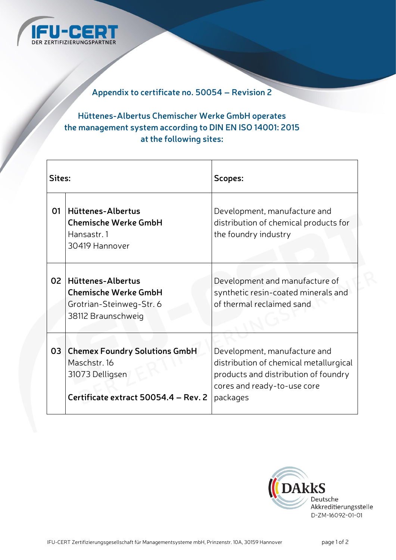

#### **Appendix to certificate no. 50054 – Revision 2**

### **Hüttenes-Albertus Chemischer Werke GmbH operates the management system according to DIN EN ISO 14001: 2015 at the following sites:**

| Sites: |                                                                                                                 | Scopes:                                                                                                                                                   |
|--------|-----------------------------------------------------------------------------------------------------------------|-----------------------------------------------------------------------------------------------------------------------------------------------------------|
| 01     | Hüttenes-Albertus<br><b>Chemische Werke GmbH</b><br>Hansastr. 1<br>30419 Hannover                               | Development, manufacture and<br>distribution of chemical products for<br>the foundry industry                                                             |
| 02     | Hüttenes-Albertus<br><b>Chemische Werke GmbH</b><br>Grotrian-Steinweg-Str. 6<br>38112 Braunschweig              | Development and manufacture of<br>synthetic resin-coated minerals and<br>of thermal reclaimed sand                                                        |
| 03     | <b>Chemex Foundry Solutions GmbH</b><br>Maschstr. 16<br>31073 Delligsen<br>Certificate extract 50054.4 - Rev. 2 | Development, manufacture and<br>distribution of chemical metallurgical<br>products and distribution of foundry<br>cores and ready-to-use core<br>packages |